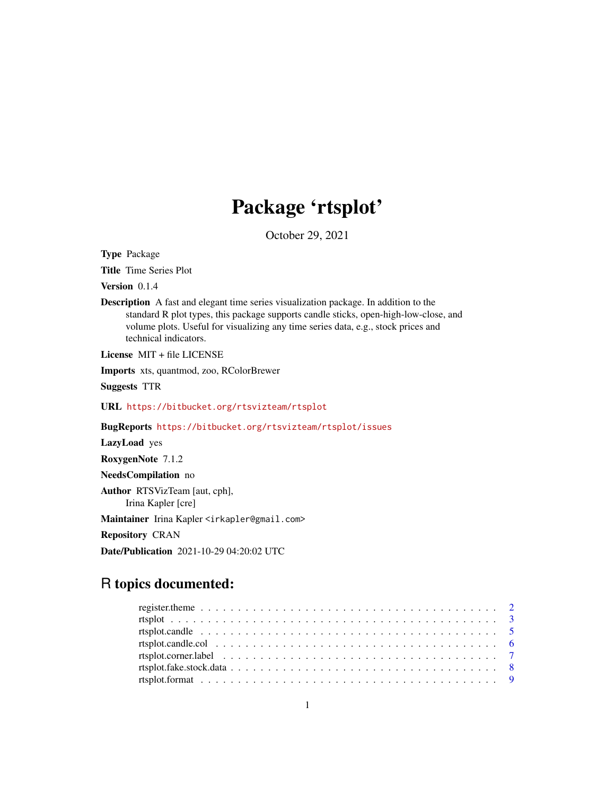# Package 'rtsplot'

October 29, 2021

<span id="page-0-0"></span>Type Package

Title Time Series Plot

Version 0.1.4

Description A fast and elegant time series visualization package. In addition to the standard R plot types, this package supports candle sticks, open-high-low-close, and volume plots. Useful for visualizing any time series data, e.g., stock prices and technical indicators.

License MIT + file LICENSE

Imports xts, quantmod, zoo, RColorBrewer

Suggests TTR

URL <https://bitbucket.org/rtsvizteam/rtsplot>

BugReports <https://bitbucket.org/rtsvizteam/rtsplot/issues>

LazyLoad yes

RoxygenNote 7.1.2

NeedsCompilation no

Author RTSVizTeam [aut, cph], Irina Kapler [cre]

Maintainer Irina Kapler <irkapler@gmail.com>

Repository CRAN

Date/Publication 2021-10-29 04:20:02 UTC

# R topics documented:

| rtsplot.candle.col $\ldots \ldots \ldots \ldots \ldots \ldots \ldots \ldots \ldots \ldots \ldots \ldots \ldots$ |  |
|-----------------------------------------------------------------------------------------------------------------|--|
|                                                                                                                 |  |
|                                                                                                                 |  |
|                                                                                                                 |  |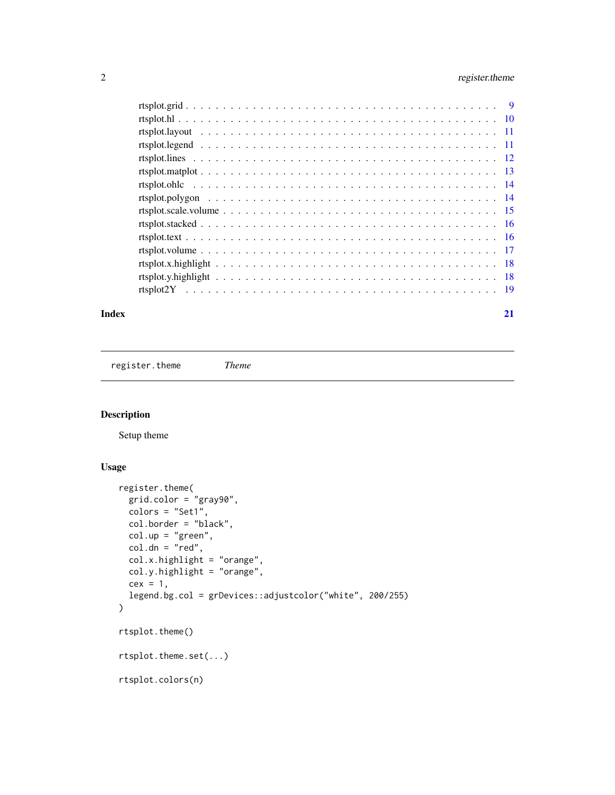# <span id="page-1-0"></span>2 register.theme

| Index | 21 |
|-------|----|
|       |    |
|       |    |
|       |    |
|       |    |
|       |    |
|       |    |
|       |    |
|       |    |
|       |    |
|       |    |
|       |    |
|       |    |
|       |    |
|       |    |
|       |    |

register.theme *Theme*

# <span id="page-1-1"></span>Description

Setup theme

```
register.theme(
 grid.color = "gray90",
 colors = "Set1",
  col.border = "black",
  col.up = "green",
  col.dn = "red",col.x.highlight = "orange",
 col.y.highlight = "orange",
 cex = 1,
  legend.bg.col = grDevices::adjustcolor("white", 200/255)
\mathcal{L}rtsplot.theme()
rtsplot.theme.set(...)
rtsplot.colors(n)
```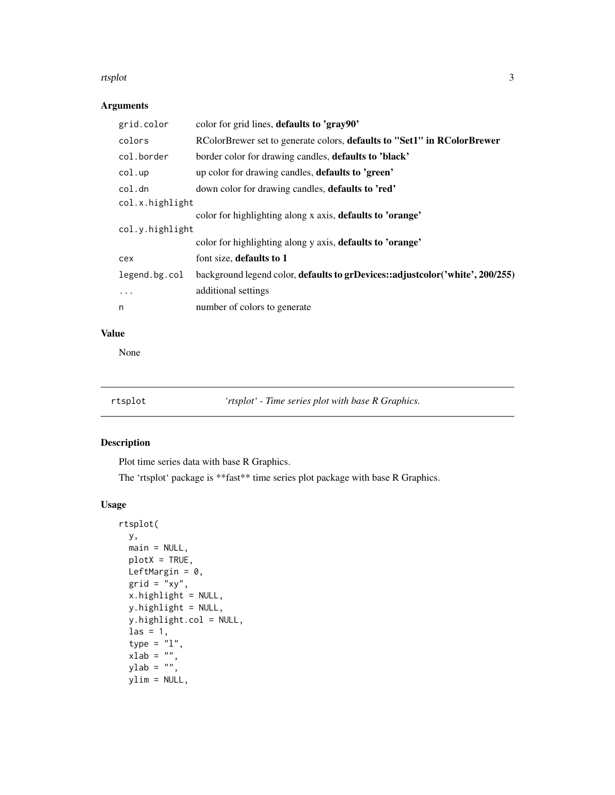#### <span id="page-2-0"></span>rtsplot 3

# Arguments

| grid.color      | color for grid lines, defaults to 'gray90'                                    |
|-----------------|-------------------------------------------------------------------------------|
| colors          | RColorBrewer set to generate colors, defaults to "Set1" in RColorBrewer       |
| col.border      | border color for drawing candles, <b>defaults to 'black'</b>                  |
| col.up          | up color for drawing candles, <b>defaults to 'green'</b>                      |
| col.dn          | down color for drawing candles, <b>defaults to 'red'</b>                      |
| col.x.highlight |                                                                               |
|                 | color for highlighting along x axis, defaults to 'orange'                     |
| col.y.highlight |                                                                               |
|                 | color for highlighting along y axis, defaults to 'orange'                     |
| cex             | font size, defaults to 1                                                      |
| legend.bg.col   | background legend color, defaults to grDevices::adjustcolor('white', 200/255) |
| $\ddots$ .      | additional settings                                                           |
| n               | number of colors to generate                                                  |

## Value

None

rtsplot *'rtsplot' - Time series plot with base R Graphics.*

| 'rtsplot' - Time series plot with base R Graphics. |  |  |  |  |  |
|----------------------------------------------------|--|--|--|--|--|
|----------------------------------------------------|--|--|--|--|--|

# Description

Plot time series data with base R Graphics.

The 'rtsplot' package is \*\*fast\*\* time series plot package with base R Graphics.

```
rtsplot(
 y,
 main = NULL,plotX = TRUE,
 LeftMargin = 0,
 grid = "xy",x.highlight = NULL,
 y.highlight = NULL,
 y.highlight.col = NULL,
  \text{las} = 1,
  type = "1",xlab = ",
  ylab = ",
 ylim = NULL,
```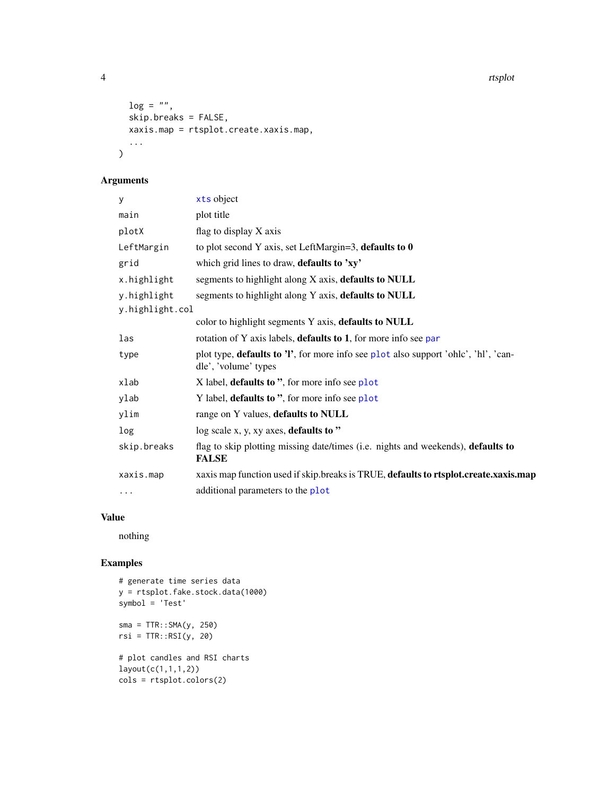4 rtsplot

```
log = "",skip.breaks = FALSE,
  xaxis.map = rtsplot.create.xaxis.map,
  ...
\mathcal{L}
```
# Arguments

| y               | xts object                                                                                                          |
|-----------------|---------------------------------------------------------------------------------------------------------------------|
| main            | plot title                                                                                                          |
| plotX           | flag to display X axis                                                                                              |
| LeftMargin      | to plot second Y axis, set LeftMargin=3, defaults to $0$                                                            |
| grid            | which grid lines to draw, defaults to 'xy'                                                                          |
| x.highlight     | segments to highlight along X axis, defaults to NULL                                                                |
| y.highlight     | segments to highlight along Y axis, defaults to NULL                                                                |
| y.highlight.col |                                                                                                                     |
|                 | color to highlight segments Y axis, defaults to NULL                                                                |
| las             | rotation of Y axis labels, <b>defaults to 1</b> , for more info see par                                             |
| type            | plot type, <b>defaults to 'l'</b> , for more info see plot also support 'ohlc', 'hl', 'can-<br>dle', 'volume' types |
| xlab            | X label, <b>defaults to</b> ", for more info see plot                                                               |
| ylab            | Y label, <b>defaults to</b> ", for more info see plot                                                               |
| ylim            | range on Y values, defaults to NULL                                                                                 |
| log             | $log scale x, y, xy axes, defaults to "$                                                                            |
| skip.breaks     | flag to skip plotting missing date/times (i.e. nights and weekends), defaults to<br><b>FALSE</b>                    |
| xaxis.map       | xaxis map function used if skip.breaks is TRUE, defaults to rtsplot.create.xaxis.map                                |
| $\cdots$        | additional parameters to the plot                                                                                   |

# Value

nothing

# Examples

```
# generate time series data
y = rtsplot.fake.stock.data(1000)
symbol = 'Test'
sma = TTR::SMA(y, 250)rsi = TTR::RSI(y, 20)
# plot candles and RSI charts
layout(c(1,1,1,2))
cols = rtsplot.colors(2)
```
<span id="page-3-0"></span>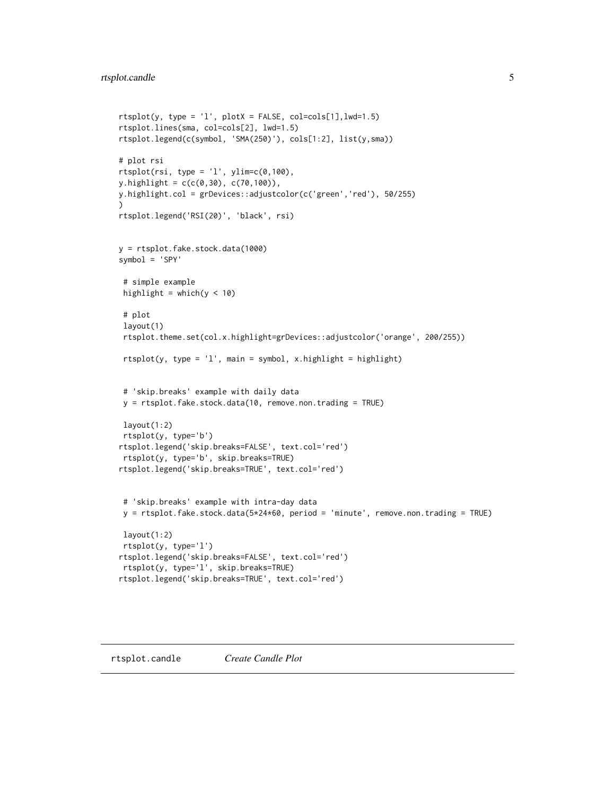```
rtsplit(y, type = 'l', plotX = FALSE, col=cols[1], lwd=1.5)rtsplot.lines(sma, col=cols[2], lwd=1.5)
rtsplot.legend(c(symbol, 'SMA(250)'), cols[1:2], list(y,sma))
# plot rsi
rtsplot(rsi, type = 'l', ylim=c(0,100),y.highlight = c(c(0,30), c(70,100)),y.highlight.col = grDevices::adjustcolor(c('green','red'), 50/255)
\lambdartsplot.legend('RSI(20)', 'black', rsi)
y = rtsplot.fake.stock.data(1000)
symbol = 'SPY'
 # simple example
 highlight = which(y < 10)
 # plot
 layout(1)
 rtsplot.theme.set(col.x.highlight=grDevices::adjustcolor('orange', 200/255))
 rtsplot(y, type = 'l', main = symbol, x.highlight = highlight)# 'skip.breaks' example with daily data
 y = rtsplot.fake.stock.data(10, remove.non.trading = TRUE)
 layout(1:2)
 rtsplot(y, type='b')
rtsplot.legend('skip.breaks=FALSE', text.col='red')
 rtsplot(y, type='b', skip.breaks=TRUE)
rtsplot.legend('skip.breaks=TRUE', text.col='red')
 # 'skip.breaks' example with intra-day data
 y = rtsplot.fake.stock.data(5*24*60, period = 'minute', remove.non.trading = TRUE)
 layout(1:2)
 rtsplot(y, type='l')
rtsplot.legend('skip.breaks=FALSE', text.col='red')
 rtsplot(y, type='l', skip.breaks=TRUE)
rtsplot.legend('skip.breaks=TRUE', text.col='red')
```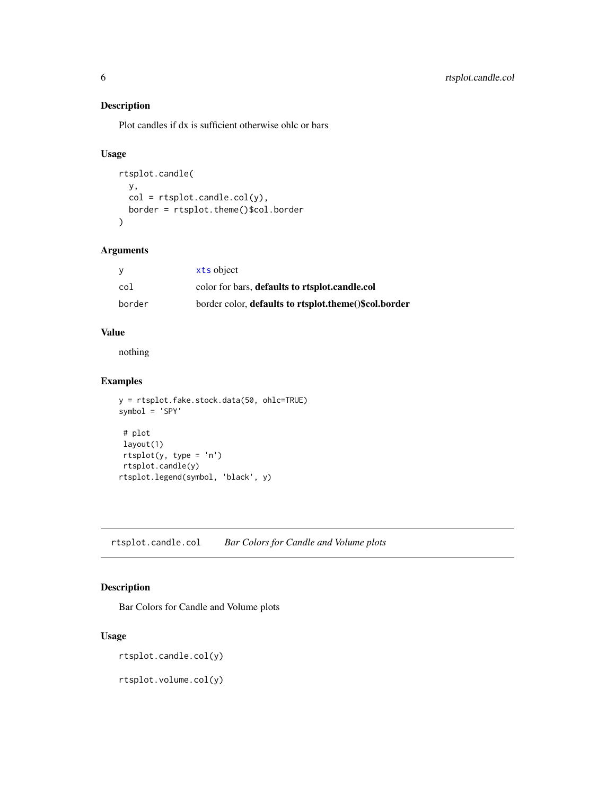# Description

Plot candles if dx is sufficient otherwise ohlc or bars

# Usage

```
rtsplot.candle(
 y,
 col = rtsplot.candle.col(y),
 border = rtsplot.theme()$col.border
)
```
#### Arguments

|        | xts object                                            |
|--------|-------------------------------------------------------|
| col    | color for bars, defaults to rtsplot.candle.col        |
| border | border color, defaults to rtsplot.theme()\$col.border |

#### Value

nothing

#### Examples

```
y = rtsplot.fake.stock.data(50, ohlc=TRUE)
symbol = 'SPY'
 # plot
 layout(1)
 rtsplit(y, type = 'n')rtsplot.candle(y)
rtsplot.legend(symbol, 'black', y)
```
rtsplot.candle.col *Bar Colors for Candle and Volume plots*

# Description

Bar Colors for Candle and Volume plots

#### Usage

```
rtsplot.candle.col(y)
```
rtsplot.volume.col(y)

<span id="page-5-0"></span>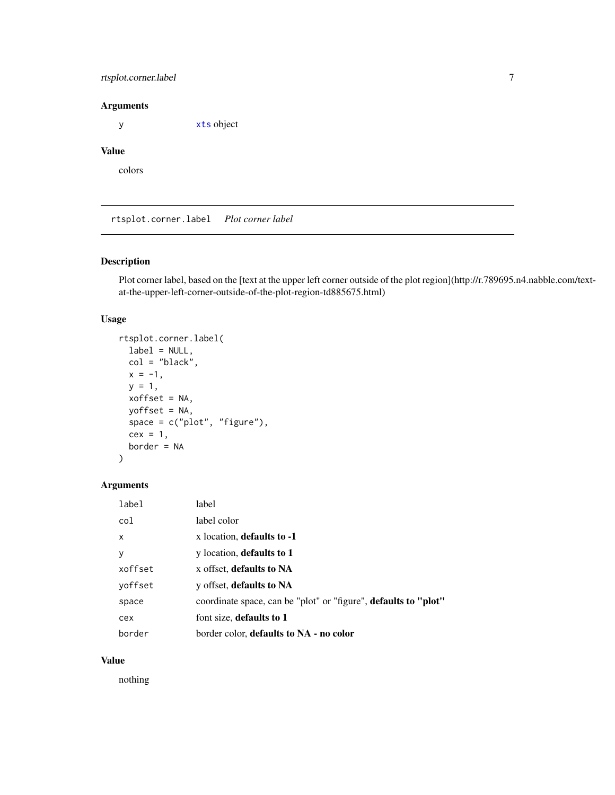# <span id="page-6-0"></span>rtsplot.corner.label 7

#### Arguments

y [xts](#page-0-0) object

# Value

colors

rtsplot.corner.label *Plot corner label*

# Description

Plot corner label, based on the [text at the upper left corner outside of the plot region](http://r.789695.n4.nabble.com/textat-the-upper-left-corner-outside-of-the-plot-region-td885675.html)

# Usage

```
rtsplot.corner.label(
 label = NULL,col = "black",x = -1,
 y = 1,
 xoffset = NA,
 yoffset = NA,
 space = c("plot", "figure"),
  cex = 1,
 border = NA
\mathcal{L}
```
# Arguments

| label   | label                                                           |
|---------|-----------------------------------------------------------------|
| col     | label color                                                     |
| X       | x location, defaults to -1                                      |
| у       | y location, defaults to 1                                       |
| xoffset | x offset, defaults to NA                                        |
| voffset | y offset, defaults to NA                                        |
| space   | coordinate space, can be "plot" or "figure", defaults to "plot" |
| cex     | font size, defaults to 1                                        |
| border  | border color, <b>defaults to NA</b> - no color                  |

#### Value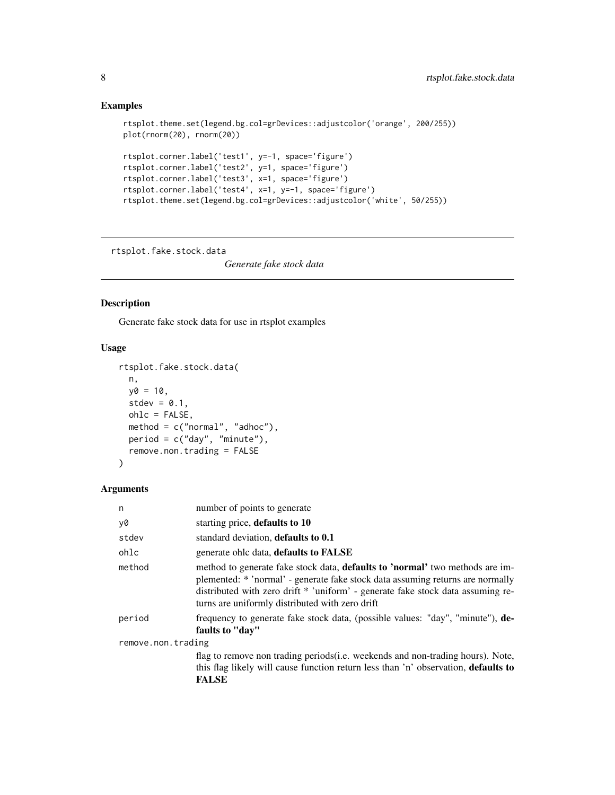# Examples

```
rtsplot.theme.set(legend.bg.col=grDevices::adjustcolor('orange', 200/255))
plot(rnorm(20), rnorm(20))
rtsplot.corner.label('test1', y=-1, space='figure')
rtsplot.corner.label('test2', y=1, space='figure')
rtsplot.corner.label('test3', x=1, space='figure')
rtsplot.corner.label('test4', x=1, y=-1, space='figure')
rtsplot.theme.set(legend.bg.col=grDevices::adjustcolor('white', 50/255))
```
rtsplot.fake.stock.data

*Generate fake stock data*

# Description

Generate fake stock data for use in rtsplot examples

# Usage

```
rtsplot.fake.stock.data(
 n,
 y0 = 10,
 stdev = 0.1,
 ohlc = FALSE,
 method = c("normal", "adhoc"),period = c("day", "minute"),
 remove.non.trading = FALSE
)
```

| n                  | number of points to generate                                                                                                                                                                                                                                                                                |
|--------------------|-------------------------------------------------------------------------------------------------------------------------------------------------------------------------------------------------------------------------------------------------------------------------------------------------------------|
| y0                 | starting price, defaults to 10                                                                                                                                                                                                                                                                              |
| stdev              | standard deviation, defaults to 0.1                                                                                                                                                                                                                                                                         |
| ohlc               | generate ohlc data, defaults to FALSE                                                                                                                                                                                                                                                                       |
| method             | method to generate fake stock data, <b>defaults to 'normal'</b> two methods are im-<br>plemented: * 'normal' - generate fake stock data assuming returns are normally<br>distributed with zero drift * 'uniform' - generate fake stock data assuming re-<br>turns are uniformly distributed with zero drift |
| period             | frequency to generate fake stock data, (possible values: "day", "minute"), de-<br>faults to "day"                                                                                                                                                                                                           |
| remove.non.trading |                                                                                                                                                                                                                                                                                                             |
|                    | flag to remove non trading periods ( <i>i.e.</i> weekends and non-trading hours). Note,                                                                                                                                                                                                                     |
|                    | this flag likely will cause function return less than 'n' observation, <b>defaults to</b>                                                                                                                                                                                                                   |
|                    | <b>FALSE</b>                                                                                                                                                                                                                                                                                                |

<span id="page-7-0"></span>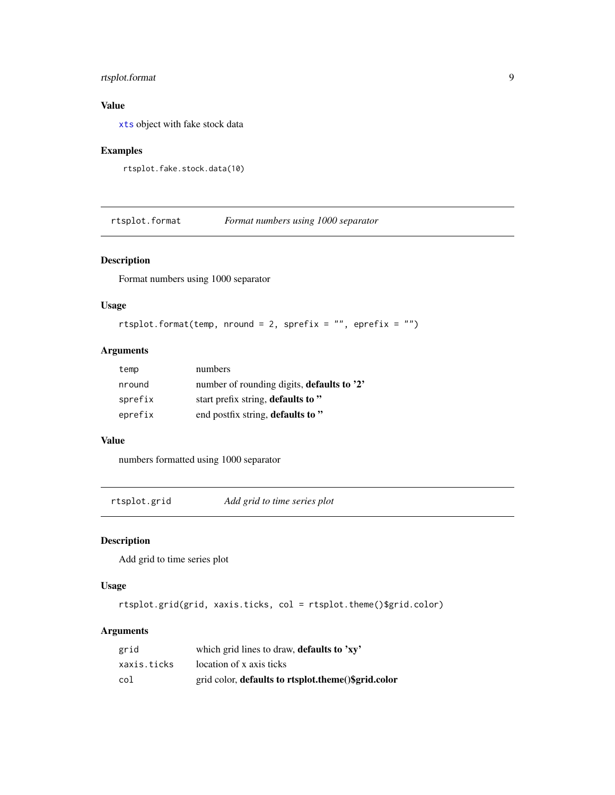# <span id="page-8-0"></span>rtsplot.format 9

# Value

[xts](#page-0-0) object with fake stock data

### Examples

```
rtsplot.fake.stock.data(10)
```
<span id="page-8-1"></span>rtsplot.format *Format numbers using 1000 separator*

# Description

Format numbers using 1000 separator

#### Usage

```
rtsplot.format(temp, nround = 2, sprefix = "", eprefix = "")
```
# Arguments

| temp    | numbers                                    |
|---------|--------------------------------------------|
| nround  | number of rounding digits, defaults to '2' |
| sprefix | start prefix string, defaults to "         |
| eprefix | end postfix string, defaults to "          |

#### Value

numbers formatted using 1000 separator

rtsplot.grid *Add grid to time series plot*

# Description

Add grid to time series plot

#### Usage

rtsplot.grid(grid, xaxis.ticks, col = rtsplot.theme()\$grid.color)

| grid        | which grid lines to draw, <b>defaults to 'xy'</b>   |
|-------------|-----------------------------------------------------|
| xaxis.ticks | location of x axis ticks                            |
| col         | grid color, defaults to rtsplot.theme()\$grid.color |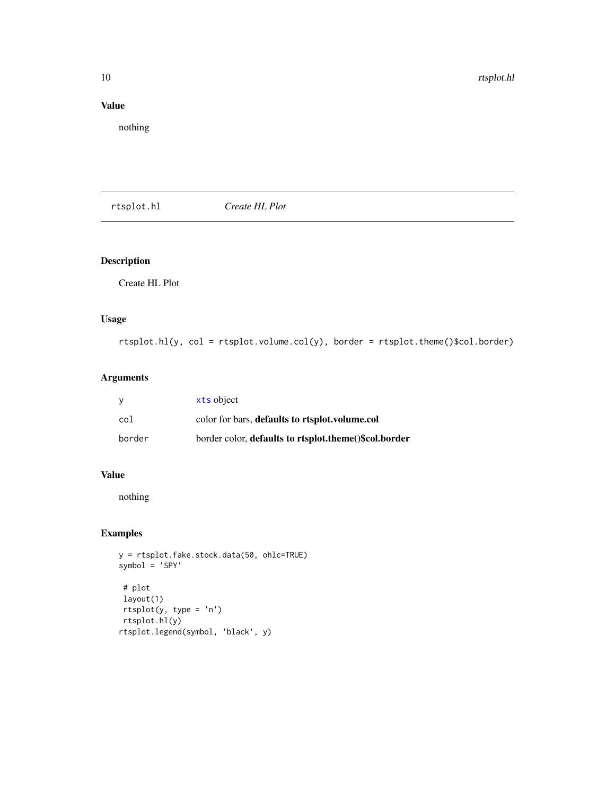# <span id="page-9-0"></span>Value

nothing

rtsplot.hl *Create HL Plot*

# Description

Create HL Plot

# Usage

rtsplot.hl(y, col = rtsplot.volume.col(y), border = rtsplot.theme()\$col.border)

# Arguments

| - V    | xts object                                            |
|--------|-------------------------------------------------------|
| col    | color for bars, defaults to rtsplot, volume.col       |
| border | border color, defaults to rtsplot.theme()\$col.border |

# Value

nothing

# Examples

```
y = rtsplot.fake.stock.data(50, ohlc=TRUE)
symbol = 'SPY'
 # plot
 layout(1)
```
rtsplot(y, type = 'n') rtsplot.hl(y) rtsplot.legend(symbol, 'black', y)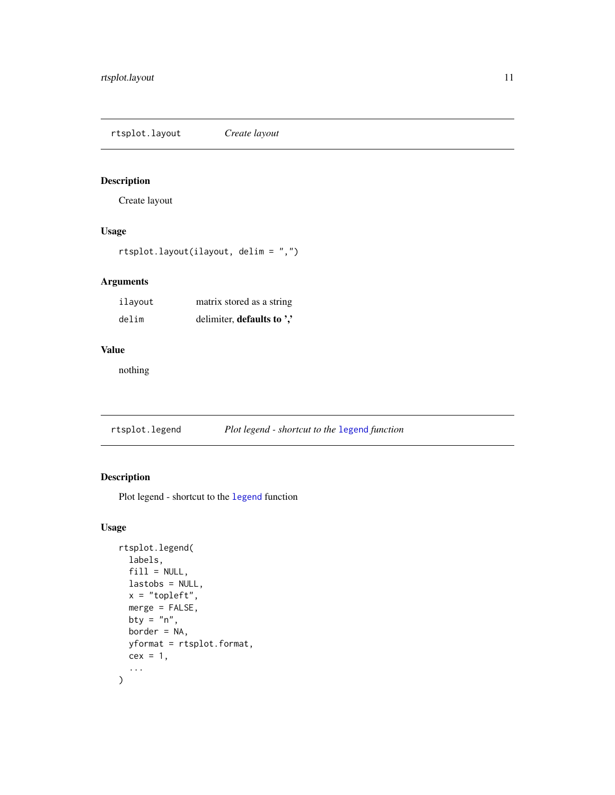<span id="page-10-0"></span>rtsplot.layout *Create layout*

# Description

Create layout

# Usage

rtsplot.layout(ilayout, delim = ",")

# Arguments

| ilayout | matrix stored as a string  |
|---------|----------------------------|
| delim   | delimiter, defaults to ',' |

#### Value

nothing

# Description

Plot legend - shortcut to the [legend](#page-0-0) function

```
rtsplot.legend(
  labels,
 fill = NULL,lastobs = NULL,
  x = "topleft",merge = FALSE,
 bty = "n",border = NA,
 yformat = rtsplot.format,
 cex = 1,
  ...
\mathcal{L}
```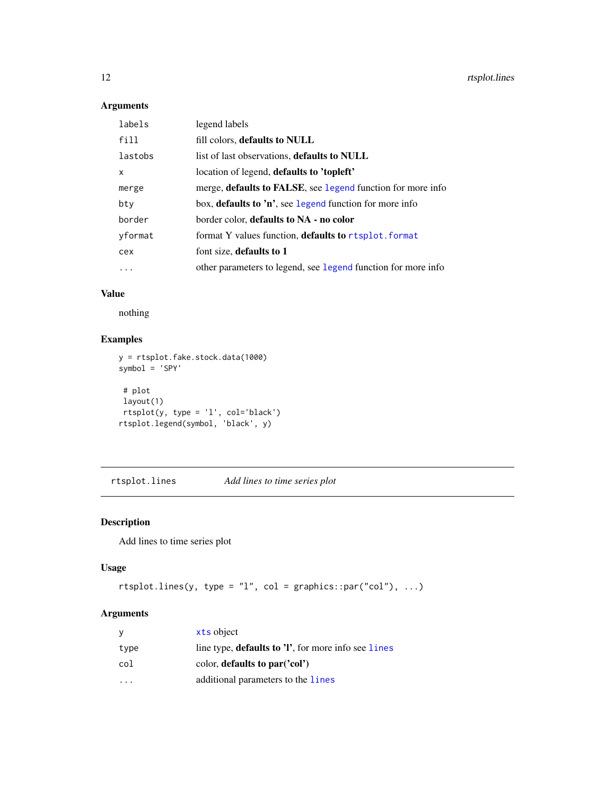# <span id="page-11-0"></span>Arguments

| labels  | legend labels                                                       |
|---------|---------------------------------------------------------------------|
| fill    | fill colors, defaults to NULL                                       |
| lastobs | list of last observations, <b>defaults to NULL</b>                  |
| X       | location of legend, defaults to 'topleft'                           |
| merge   | merge, <b>defaults to FALSE</b> , see legend function for more info |
| bty     | box, defaults to 'n', see legend function for more info             |
| border  | border color, defaults to NA - no color                             |
| yformat | format Y values function, <b>defaults to</b> rtsplot. format        |
| cex     | font size, defaults to 1                                            |
| .       | other parameters to legend, see legend function for more info       |

# Value

nothing

# Examples

```
y = rtsplot.fake.stock.data(1000)
symbol = 'SPY'
 # plot
 layout(1)
 rtsplot(y, type = 'l', col='black')
rtsplot.legend(symbol, 'black', y)
```
rtsplot.lines *Add lines to time series plot*

# Description

Add lines to time series plot

# Usage

```
rtsplitu.lines(y, type = "l", col = graphics::par("col"), ...)
```

| ν                       | xts object                                                  |
|-------------------------|-------------------------------------------------------------|
| type                    | line type, <b>defaults to 'l'</b> , for more info see lines |
| col                     | color, defaults to par('col')                               |
| $\cdot$ $\cdot$ $\cdot$ | additional parameters to the lines                          |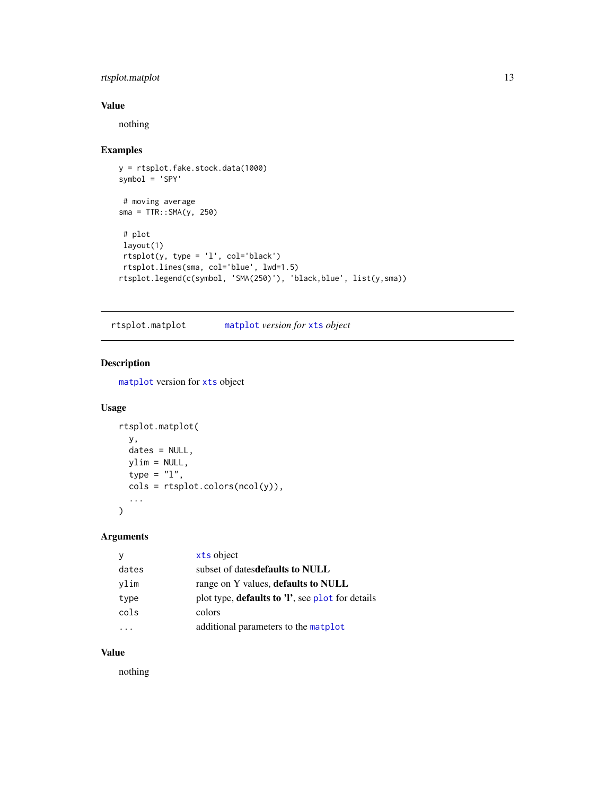# <span id="page-12-0"></span>rtsplot.matplot 13

# Value

nothing

# Examples

```
y = rtsplot.fake.stock.data(1000)
symbol = 'SPY'
 # moving average
sma = TTR::SMA(y, 250)
 # plot
layout(1)
 rtsplot(y, type = 'l', col='black')
rtsplot.lines(sma, col='blue', lwd=1.5)
rtsplot.legend(c(symbol, 'SMA(250)'), 'black,blue', list(y,sma))
```
rtsplot.matplot [matplot](#page-0-0) *version for* [xts](#page-0-0) *object*

# Description

[matplot](#page-0-0) version for [xts](#page-0-0) object

#### Usage

```
rtsplot.matplot(
  y,
  dates = NULL,
  ylim = NULL,
  type = "1",\text{cols} = \text{rtsplit}.\text{colors}(\text{ncol}(y)),...
\mathcal{L}
```
#### Arguments

|       | xts object                                               |
|-------|----------------------------------------------------------|
| dates | subset of datesdefaults to NULL                          |
| vlim  | range on Y values, defaults to NULL                      |
| type  | plot type, <b>defaults to 'l'</b> , see plot for details |
| cols  | colors                                                   |
|       | additional parameters to the matplot                     |

# Value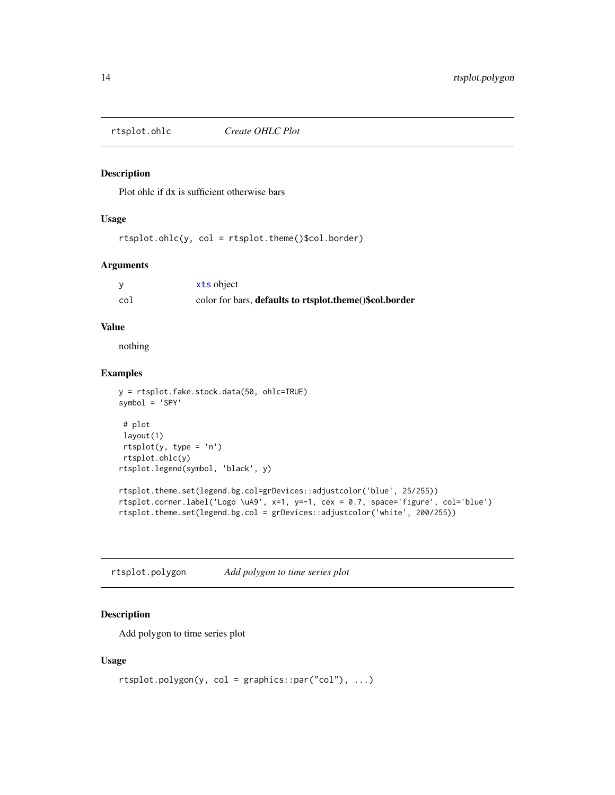<span id="page-13-0"></span>

#### Description

Plot ohlc if dx is sufficient otherwise bars

#### Usage

rtsplot.ohlc(y, col = rtsplot.theme()\$col.border)

#### Arguments

|     | xts object                                              |
|-----|---------------------------------------------------------|
| co1 | color for bars, defaults to rtsplot.theme()\$col.border |

# Value

nothing

#### Examples

```
y = rtsplot.fake.stock.data(50, ohlc=TRUE)
symbol = 'SPY'
# plot
layout(1)
rtsplot(y, type = 'n')
rtsplot.ohlc(y)
rtsplot.legend(symbol, 'black', y)
rtsplot.theme.set(legend.bg.col=grDevices::adjustcolor('blue', 25/255))
rtsplot.corner.label('Logo \uA9', x=1, y=-1, cex = 0.7, space='figure', col='blue')
rtsplot.theme.set(legend.bg.col = grDevices::adjustcolor('white', 200/255))
```
rtsplot.polygon *Add polygon to time series plot*

# Description

Add polygon to time series plot

```
rtsplot.polygon(y, col = graphics::par("col"), ...)
```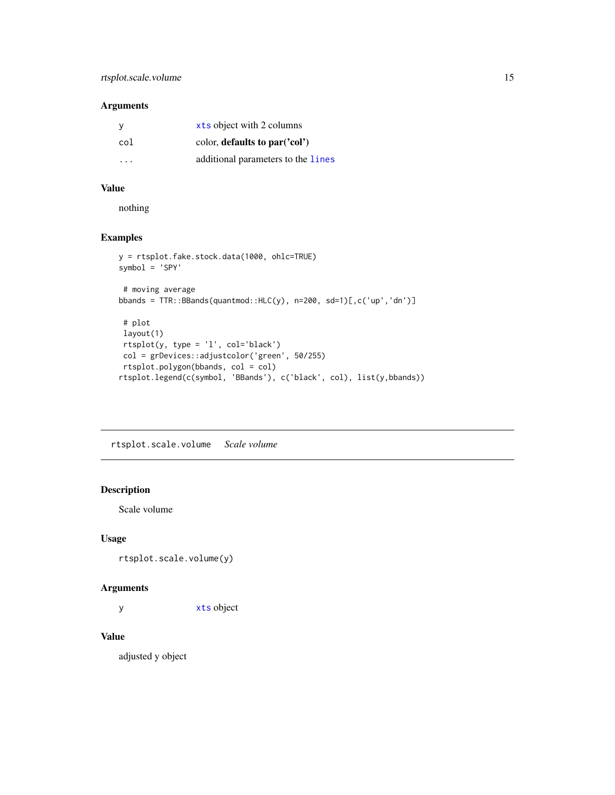#### <span id="page-14-0"></span>Arguments

| <sub>V</sub> | xts object with 2 columns          |
|--------------|------------------------------------|
| col          | color, defaults to $par('col')$    |
| .            | additional parameters to the lines |

# Value

nothing

# Examples

```
y = rtsplot.fake.stock.data(1000, ohlc=TRUE)
symbol = 'SPY'
 # moving average
bbands = TTR::BBands(quantmod::HLC(y), n=200, sd=1)[,c('up','dn')]
 # plot
 layout(1)
 rtsplot(y, type = 'l', col='black')
 col = grDevices::adjustcolor('green', 50/255)
rtsplot.polygon(bbands, col = col)
rtsplot.legend(c(symbol, 'BBands'), c('black', col), list(y,bbands))
```
rtsplot.scale.volume *Scale volume*

# Description

Scale volume

#### Usage

rtsplot.scale.volume(y)

#### Arguments

y [xts](#page-0-0) object

#### Value

adjusted y object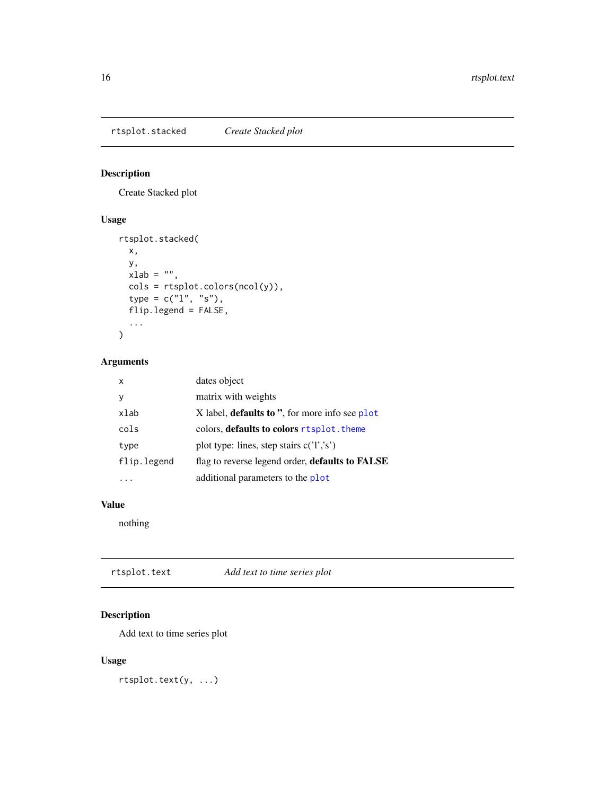<span id="page-15-0"></span>rtsplot.stacked *Create Stacked plot*

# Description

Create Stacked plot

# Usage

```
rtsplot.stacked(
 x,
 y,
 xlab = ",
 cols = rtsplot.colors(ncol(y)),
  type = c("1", "s"),
 flip.legend = FALSE,
  ...
)
```
# Arguments

| x           | dates object                                          |
|-------------|-------------------------------------------------------|
| ٧           | matrix with weights                                   |
| xlab        | X label, <b>defaults to</b> ", for more info see plot |
| cols        | colors, <b>defaults to colors</b> rtsplot, theme      |
| type        | plot type: lines, step stairs $c('l',s')$             |
| flip.legend | flag to reverse legend order, defaults to FALSE       |
|             | additional parameters to the plot                     |

# Value

nothing

rtsplot.text *Add text to time series plot*

# Description

Add text to time series plot

# Usage

rtsplot.text(y, ...)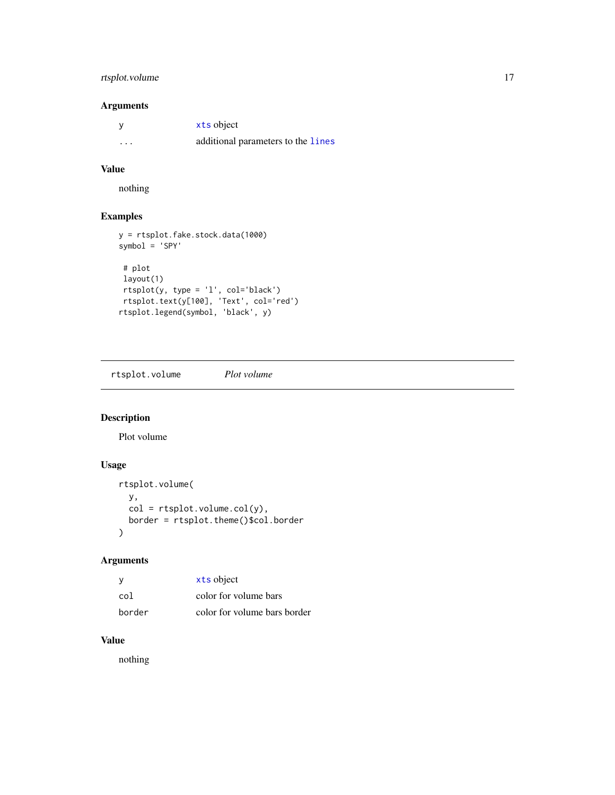# <span id="page-16-0"></span>rtsplot.volume 17

# Arguments

|                         | xts object                         |
|-------------------------|------------------------------------|
| $\cdot$ $\cdot$ $\cdot$ | additional parameters to the lines |

#### Value

nothing

# Examples

```
y = rtsplot.fake.stock.data(1000)
symbol = 'SPY'
 # plot
layout(1)
 rtsplot(y, type = 'l', col='black')
 rtsplot.text(y[100], 'Text', col='red')
rtsplot.legend(symbol, 'black', y)
```
rtsplot.volume *Plot volume*

# Description

Plot volume

# Usage

```
rtsplot.volume(
  y,
  col = rtsplit.volume.col(y),border = rtsplot.theme()$col.border
\mathcal{L}
```
# Arguments

| у      | xts object                   |
|--------|------------------------------|
| col    | color for volume bars        |
| border | color for volume bars border |

# Value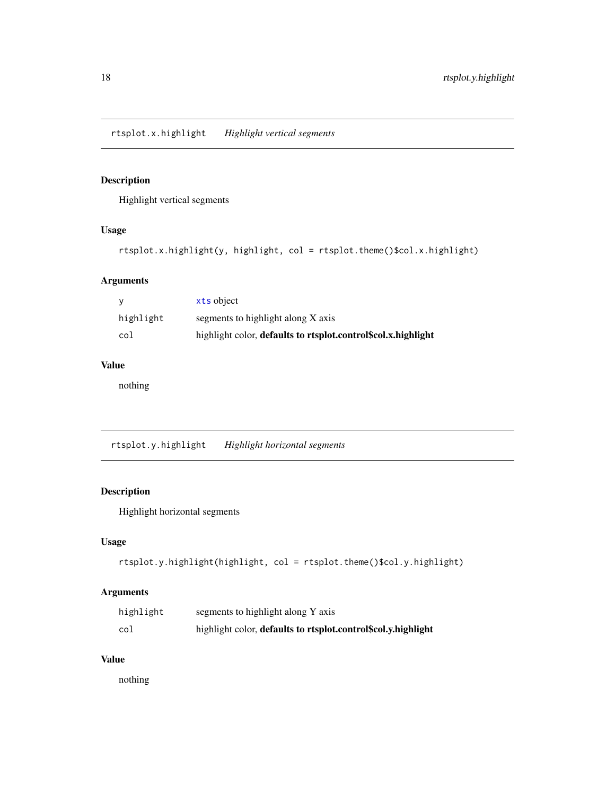<span id="page-17-0"></span>rtsplot.x.highlight *Highlight vertical segments*

# Description

Highlight vertical segments

# Usage

```
rtsplot.x.highlight(y, highlight, col = rtsplot.theme()$col.x.highlight)
```
# Arguments

|           | xts object                                                    |
|-----------|---------------------------------------------------------------|
| highlight | segments to highlight along X axis                            |
| col       | highlight color, defaults to rtsplot.control\$col.x.highlight |

# Value

nothing

rtsplot.y.highlight *Highlight horizontal segments*

# Description

Highlight horizontal segments

# Usage

```
rtsplot.y.highlight(highlight, col = rtsplot.theme()$col.y.highlight)
```
# Arguments

| highlight | segments to highlight along Y axis                            |
|-----------|---------------------------------------------------------------|
| col       | highlight color, defaults to rtsplot.control\$col.y.highlight |

#### Value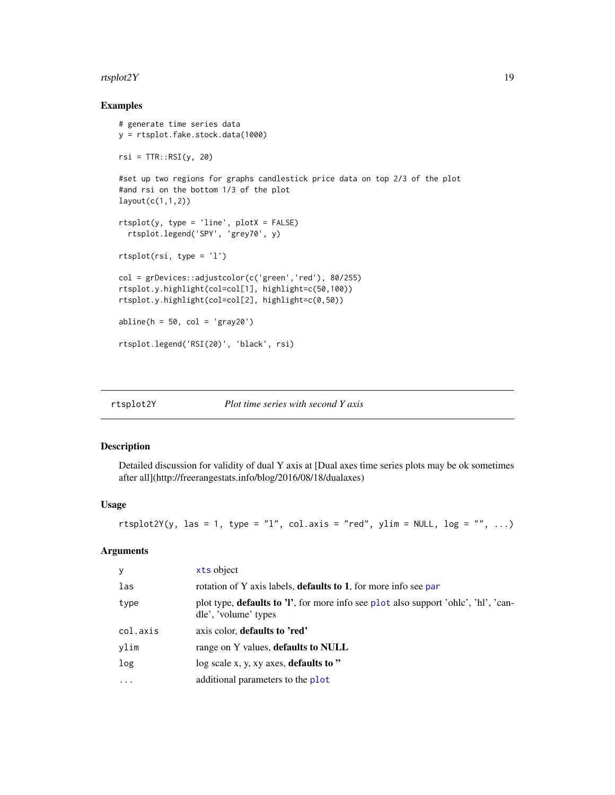#### <span id="page-18-0"></span>rtsplot2Y  $19$

# Examples

```
# generate time series data
y = rtsplot.fake.stock.data(1000)
rsi = TTR::RSI(y, 20)#set up two regions for graphs candlestick price data on top 2/3 of the plot
#and rsi on the bottom 1/3 of the plot
layout(c(1,1,2))
rtsplot(y, type = 'line', plotX = FALSE)
  rtsplot.legend('SPY', 'grey70', y)
rtsplot(rsi, type = 'l')
col = grDevices::adjustcolor(c('green','red'), 80/255)
rtsplot.y.highlight(col=col[1], highlight=c(50,100))
rtsplot.y.highlight(col=col[2], highlight=c(0,50))
abline(h = 50, col = 'gray20')rtsplot.legend('RSI(20)', 'black', rsi)
```

| rtsplot2Y | Plot time series with second Y axis |  |  |  |
|-----------|-------------------------------------|--|--|--|
|           |                                     |  |  |  |

# Description

Detailed discussion for validity of dual Y axis at [Dual axes time series plots may be ok sometimes after all](http://freerangestats.info/blog/2016/08/18/dualaxes)

#### Usage

```
rtsplot2Y(y, las = 1, type = "l", col.axis = "red", ylim = NULL, log = "", ...)
```

| xts object                                                                                                          |
|---------------------------------------------------------------------------------------------------------------------|
| rotation of Y axis labels, <b>defaults to 1</b> , for more info see par                                             |
| plot type, <b>defaults to 'l'</b> , for more info see plot also support 'ohlc', 'hl', 'can-<br>dle', 'volume' types |
| axis color, defaults to 'red'                                                                                       |
| range on Y values, defaults to NULL                                                                                 |
| log scale x, y, xy axes, defaults to "                                                                              |
| additional parameters to the plot                                                                                   |
|                                                                                                                     |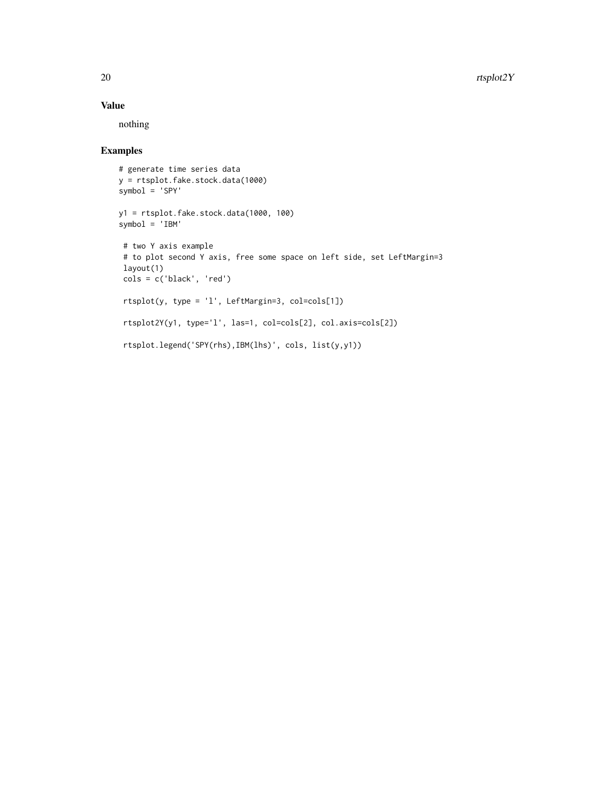# Value

nothing

# Examples

```
# generate time series data
y = rtsplot.fake.stock.data(1000)
symbol = 'SPY'
y1 = rtsplot.fake.stock.data(1000, 100)
symbol = 'IBM'
 # two Y axis example
 # to plot second Y axis, free some space on left side, set LeftMargin=3
 layout(1)
cols = c('black', 'red')
 rtsplot(y, type = 'l', LeftMargin=3, col=cols[1])
 rtsplot2Y(y1, type='l', las=1, col=cols[2], col.axis=cols[2])
 rtsplot.legend('SPY(rhs),IBM(lhs)', cols, list(y,y1))
```